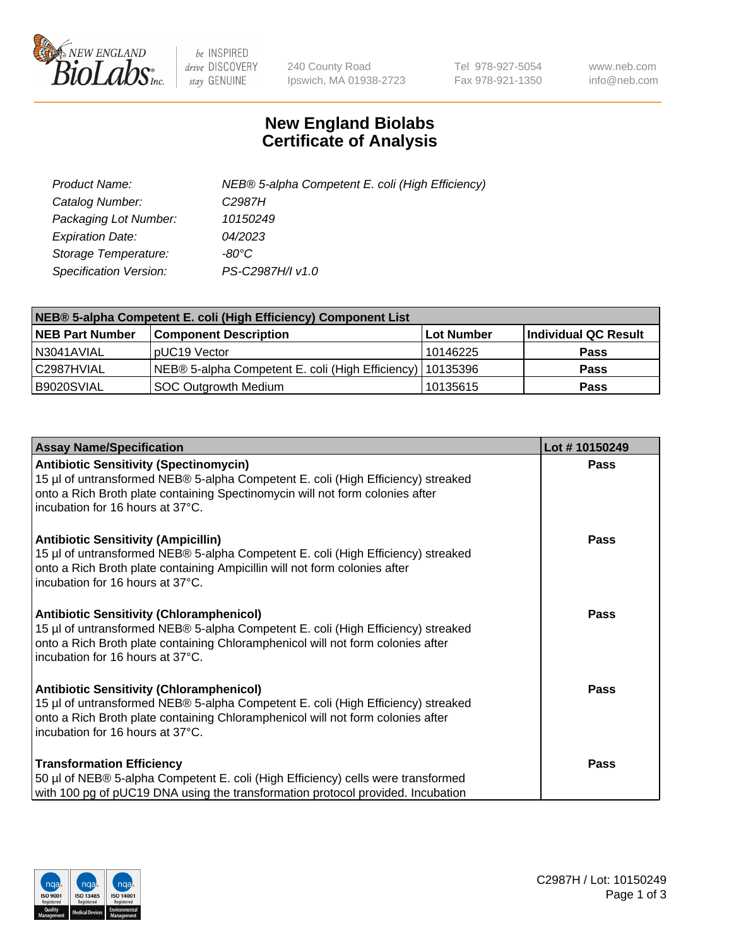

 $be$  INSPIRED drive DISCOVERY stay GENUINE

240 County Road Ipswich, MA 01938-2723 Tel 978-927-5054 Fax 978-921-1350 www.neb.com info@neb.com

## **New England Biolabs Certificate of Analysis**

| Product Name:           | NEB® 5-alpha Competent E. coli (High Efficiency) |
|-------------------------|--------------------------------------------------|
| Catalog Number:         | C <sub>2987</sub> H                              |
| Packaging Lot Number:   | 10150249                                         |
| <b>Expiration Date:</b> | 04/2023                                          |
| Storage Temperature:    | -80°C                                            |
| Specification Version:  | PS-C2987H/I v1.0                                 |

| NEB® 5-alpha Competent E. coli (High Efficiency) Component List |                                                             |            |                      |  |
|-----------------------------------------------------------------|-------------------------------------------------------------|------------|----------------------|--|
| <b>NEB Part Number</b>                                          | <b>Component Description</b>                                | Lot Number | Individual QC Result |  |
| N3041AVIAL                                                      | pUC19 Vector                                                | 10146225   | <b>Pass</b>          |  |
| C2987HVIAL                                                      | NEB® 5-alpha Competent E. coli (High Efficiency)   10135396 |            | Pass                 |  |
| B9020SVIAL                                                      | SOC Outgrowth Medium                                        | 10135615   | <b>Pass</b>          |  |

| <b>Assay Name/Specification</b>                                                                                                                                                                                                                            | Lot #10150249 |
|------------------------------------------------------------------------------------------------------------------------------------------------------------------------------------------------------------------------------------------------------------|---------------|
| <b>Antibiotic Sensitivity (Spectinomycin)</b><br>15 µl of untransformed NEB® 5-alpha Competent E. coli (High Efficiency) streaked<br>onto a Rich Broth plate containing Spectinomycin will not form colonies after<br>incubation for 16 hours at 37°C.     | Pass          |
| <b>Antibiotic Sensitivity (Ampicillin)</b><br>15 µl of untransformed NEB® 5-alpha Competent E. coli (High Efficiency) streaked<br>onto a Rich Broth plate containing Ampicillin will not form colonies after<br>incubation for 16 hours at 37°C.           | <b>Pass</b>   |
| <b>Antibiotic Sensitivity (Chloramphenicol)</b><br>15 µl of untransformed NEB® 5-alpha Competent E. coli (High Efficiency) streaked<br>onto a Rich Broth plate containing Chloramphenicol will not form colonies after<br>incubation for 16 hours at 37°C. | Pass          |
| <b>Antibiotic Sensitivity (Chloramphenicol)</b><br>15 µl of untransformed NEB® 5-alpha Competent E. coli (High Efficiency) streaked<br>onto a Rich Broth plate containing Chloramphenicol will not form colonies after<br>incubation for 16 hours at 37°C. | <b>Pass</b>   |
| <b>Transformation Efficiency</b><br>50 µl of NEB® 5-alpha Competent E. coli (High Efficiency) cells were transformed<br>with 100 pg of pUC19 DNA using the transformation protocol provided. Incubation                                                    | <b>Pass</b>   |

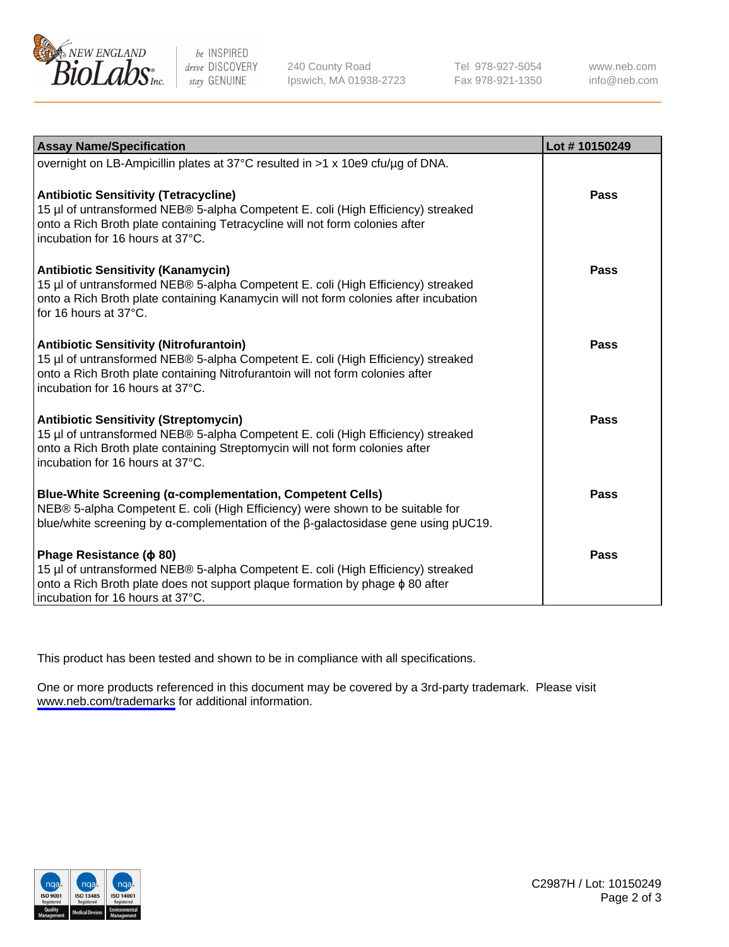

be INSPIRED drive DISCOVERY stay GENUINE

240 County Road Ipswich, MA 01938-2723 Tel 978-927-5054 Fax 978-921-1350

www.neb.com info@neb.com

| <b>Assay Name/Specification</b>                                                                                                                                                                                                                          | Lot #10150249 |
|----------------------------------------------------------------------------------------------------------------------------------------------------------------------------------------------------------------------------------------------------------|---------------|
| overnight on LB-Ampicillin plates at 37°C resulted in >1 x 10e9 cfu/µg of DNA.                                                                                                                                                                           |               |
| <b>Antibiotic Sensitivity (Tetracycline)</b><br>15 µl of untransformed NEB® 5-alpha Competent E. coli (High Efficiency) streaked<br>onto a Rich Broth plate containing Tetracycline will not form colonies after<br>incubation for 16 hours at 37°C.     | <b>Pass</b>   |
| Antibiotic Sensitivity (Kanamycin)<br>15 µl of untransformed NEB® 5-alpha Competent E. coli (High Efficiency) streaked<br>onto a Rich Broth plate containing Kanamycin will not form colonies after incubation<br>for 16 hours at 37°C.                  | Pass          |
| <b>Antibiotic Sensitivity (Nitrofurantoin)</b><br>15 µl of untransformed NEB® 5-alpha Competent E. coli (High Efficiency) streaked<br>onto a Rich Broth plate containing Nitrofurantoin will not form colonies after<br>incubation for 16 hours at 37°C. | <b>Pass</b>   |
| <b>Antibiotic Sensitivity (Streptomycin)</b><br>15 µl of untransformed NEB® 5-alpha Competent E. coli (High Efficiency) streaked<br>onto a Rich Broth plate containing Streptomycin will not form colonies after<br>incubation for 16 hours at 37°C.     | Pass          |
| <b>Blue-White Screening (α-complementation, Competent Cells)</b><br>NEB® 5-alpha Competent E. coli (High Efficiency) were shown to be suitable for<br>blue/white screening by $\alpha$ -complementation of the $\beta$ -galactosidase gene using pUC19.  | Pass          |
| Phage Resistance ( $\phi$ 80)<br>15 µl of untransformed NEB® 5-alpha Competent E. coli (High Efficiency) streaked<br>onto a Rich Broth plate does not support plaque formation by phage $\phi$ 80 after<br>incubation for 16 hours at 37°C.              | Pass          |

This product has been tested and shown to be in compliance with all specifications.

One or more products referenced in this document may be covered by a 3rd-party trademark. Please visit <www.neb.com/trademarks>for additional information.